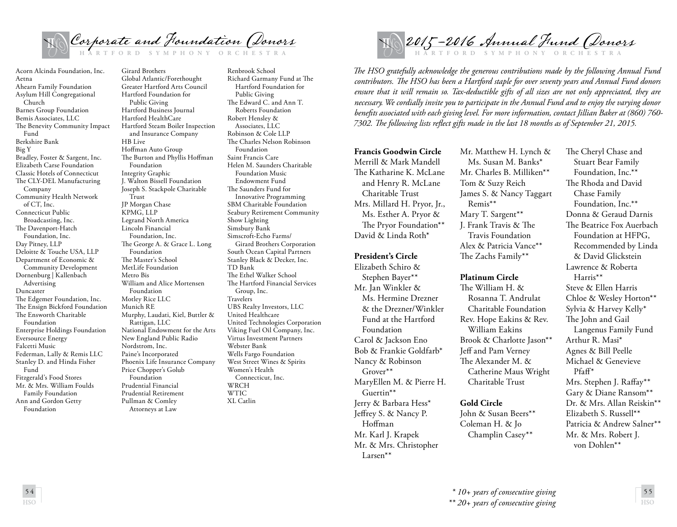

Acorn Alcinda Foundation, Inc. Aetna Ahearn Family Foundation Asylum Hill Congregational Church Barnes Group Foundation Bemis Associates, LLC The Benevity Community Impact Fund Berkshire Bank Big Y Bradley, Foster & Sargent, Inc. Elizabeth Carse Foundation Classic Hotels of Connecticut The CLY-DEL Manufacturing Company Community Health Network of CT, Inc. Connecticut Public Broadcasting, Inc. The Davenport-Hatch Foundation, Inc. Day Pitney, LLP Deloitte & Touche USA, LLP Department of Economic & Community Development Dornenburg | Kallenbach Advertising Duncaster The Edgemer Foundation, Inc. The Ensign Bickford Foundation The Ensworth Charitable Foundation Enterprise Holdings Foundation Eversource Energy Falcetti Music Federman, Lally & Remis LLC Stanley D. and Hinda Fisher Fund Fitzgerald's Food Stores Mr. & Mrs. William Foulds Family Foundation Ann and Gordon Getty Foundation

**HSO** 

Girard Brothers Global Atlantic/Forethought Greater Hartford Arts Council Hartford Foundation for Public Giving Hartford Business Journal Hartford HealthCare Hartford Steam Boiler Inspection and Insurance Company HB Live Hoffman Auto Group The Burton and Phyllis Hoffman Foundation Integrity Graphic J. Walton Bissell Foundation Joseph S. Stackpole Charitable Trust JP Morgan Chase KPMG, LLP Legrand North America Lincoln Financial Foundation, Inc. The George A. & Grace L. Long Foundation The Master's School MetLife Foundation Metro Bis William and Alice Mortensen Foundation Motley Rice LLC Munich RE Murphy, Laudati, Kiel, Buttler & Rattigan, LLC National Endowment for the Arts New England Public Radio Nordstrom, Inc. Paine's Incorporated Phoenix Life Insurance Company Price Chopper's Golub Foundation Prudential Financial Prudential Retirement Pullman & Comley Attorneys at Law

Renbrook School Richard Garmany Fund at The Hartford Foundation for Public Giving The Edward C. and Ann T. Roberts Foundation Robert Hensley & Associates, LLC Robinson & Cole LLP The Charles Nelson Robinson Foundation Saint Francis Care Helen M. Saunders Charitable Foundation Music Endowment Fund The Saunders Fund for Innovative Programming SBM Charitable Foundation Seabury Retirement Community Show Lighting Simsbury Bank Simscroft-Echo Farms/ Girard Brothers Corporation South Ocean Capital Partners Stanley Black & Decker, Inc. TD Bank The Ethel Walker School The Hartford Financial Services Group, Inc. Travelers UBS Realty Investors, LLC United Healthcare United Technologies Corporation Viking Fuel Oil Company, Inc. Virtus Investment Partners Webster Bank Wells Fargo Foundation West Street Wines & Spirits Women's Health Connecticut, Inc. WRCH WTIC XL Catlin



*The HSO gratefully acknowledge the generous contributions made by the following Annual Fund contributors. The HSO has been a Hartford staple for over seventy years and Annual Fund donors ensure that it will remain so. Tax-deductible gifts of all sizes are not only appreciated, they are necessary. We cordially invite you to participate in the Annual Fund and to enjoy the varying donor benefits associated with each giving level. For more information, contact Jillian Baker at (860) 760- 7302. The following lists reflect gifts made in the last 18 months as of September 21, 2015.*

**Francis Goodwin Circle** Merrill & Mark Mandell The Katharine K. McLane and Henry R. McLane Charitable Trust Mrs. Millard H. Pryor, Jr., Ms. Esther A. Pryor & The Pryor Foundation\*\* David & Linda Roth\*

## **President's Circle**

Elizabeth Schiro & Stephen Bayer\*\* Mr. Jan Winkler & Ms. Hermine Drezner & the Drezner/Winkler Fund at the Hartford Foundation Carol & Jackson Eno Bob & Frankie Goldfarb\* Nancy & Robinson Grover\*\* MaryEllen M. & Pierre H. Guertin\*\* Jerry & Barbara Hess\* Jeffrey S. & Nancy P. Hoffman Mr. Karl J. Krapek Mr. & Mrs. Christopher Larsen\*\*

Mr. Matthew H. Lynch & Ms. Susan M. Banks\* Mr. Charles B. Milliken\*\* Tom & Suzy Reich James S. & Nancy Taggart Remis\*\* Mary T. Sargent\*\* J. Frank Travis & The Travis Foundation Alex & Patricia Vance\*\* The Zachs Family\*\*

## **Platinum Circle**

The William H. & Rosanna T. Andrulat Charitable Foundation Rev. Hope Eakins & Rev. William Eakins Brook & Charlotte Jason\*\* Jeff and Pam Verney The Alexander M. & Catherine Maus Wright Charitable Trust

## **Gold Circle**

John & Susan Beers\*\* Coleman H. & Jo Champlin Casey\*\*

The Cheryl Chase and Stuart Bear Family Foundation, Inc.\*\* The Rhoda and David Chase Family Foundation, Inc.\*\* Donna & Geraud Darnis The Beatrice Fox Auerbach Foundation at HFPG, Recommended by Linda & David Glickstein Lawrence & Roberta Harris\*\* Steve & Ellen Harris Chloe & Wesley Horton\*\* Sylvia & Harvey Kelly\* The John and Gail Langenus Family Fund Arthur R. Masi\* Agnes & Bill Peelle Michael & Genevieve Pfaff\* Mrs. Stephen J. Raffay\*\* Gary & Diane Ransom\*\* Dr. & Mrs. Allan Reiskin\*\* Elizabeth S. Russell\*\* Patricia & Andrew Salner\*\* Mr. & Mrs. Robert J. von Dohlen\*\*

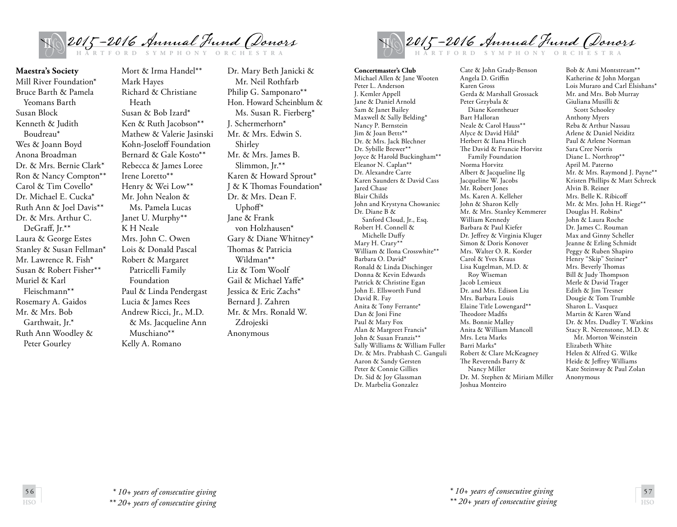

**Maestra's Society** Mill River Foundation\* Bruce Barth & Pamela Yeomans Barth Susan Block Kenneth & Judith Boudreau\* Wes & Joann Boyd Anona Broadman Dr. & Mrs. Bernie Clark\* Ron & Nancy Compton\*\* Carol & Tim Covello\* Dr. Michael E. Cucka\* Ruth Ann & Joel Davis\*\* Dr. & Mrs. Arthur C. DeGraff, Jr.\*\* Laura & George Estes Stanley & Susan Fellman\* Mr. Lawrence R. Fish\* Susan & Robert Fisher\*\* Muriel & Karl Fleischmann\*\* Rosemary A. Gaidos Mr. & Mrs. Bob Garthwait, Jr.\* Ruth Ann Woodley & Peter Gourley

Mort & Irma Handel\*\* Mark Hayes Richard & Christiane Heath Susan & Bob Izard\* Ken & Ruth Jacobson\*\* Mathew & Valerie Jasinski Kohn-Joseloff Foundation Bernard & Gale Kosto\*\* Rebecca & James Loree Irene Loretto\*\* Henry & Wei Low\*\* Mr. John Nealon & Ms. Pamela Lucas Janet U. Murphy\*\* K H Neale Mrs. John C. Owen Lois & Donald Pascal Robert & Margaret Patricelli Family Foundation Paul & Linda Pendergast Lucia & James Rees Andrew Ricci, Jr., M.D. & Ms. Jacqueline Ann Muschiano\*\* Kelly A. Romano

Dr. Mary Beth Janicki & Mr. Neil Rothfarb Philip G. Samponaro\*\* Hon. Howard Scheinblum & Ms. Susan R. Fierberg\* J. Schermerhorn\* Mr. & Mrs. Edwin S. Shirley Mr. & Mrs. James B. Slimmon, Jr.\*\* Karen & Howard Sprout\* J & K Thomas Foundation\* Dr. & Mrs. Dean F. Uphoff\* Jane & Frank von Holzhausen\* Gary & Diane Whitney\* Thomas & Patricia Wildman\*\* Liz & Tom Woolf Gail & Michael Yaffe\* Jessica & Eric Zachs\* Bernard J. Zahren Mr. & Mrs. Ronald W. Zdrojeski Anonymous



**Concertmaster's Club**  Michael Allen & Jane Wooten Peter L. Anderson J. Kemler Appell Jane & Daniel Arnold Sam & Janet Bailey Maxwell & Sally Belding\* Nancy P. Bernstein Jim & Joan Betts\*\* Dr. & Mrs. Jack Blechner Dr. Sybille Brewer\*\* Joyce & Harold Buckingham\*\* Eleanor N. Caplan\*\* Dr. Alexandre Carre Karen Saunders & David Cass Jared Chase Blair Childs John and Krystyna Chowaniec Dr. Diane B & Sanford Cloud, Jr., Esq. Robert H. Connell & Michelle Duffy Mary H. Crary\*\* William & Ilona Crosswhite\*\* Barbara O. David\* Ronald & Linda Dischinger Donna & Kevin Edwards Patrick & Christine Egan John E. Ellsworth Fund David R. Fay Anita & Tony Ferrante\* Dan & Joni Fine Paul & Mary Fox Alan & Margreet Francis\* John & Susan Franzis\*\* Sally Williams & William Fuller Dr. & Mrs. Prabhash C. Ganguli Aaron & Sandy Gersten Peter & Connie Gillies Dr. Sid & Joy Glassman Dr. Marbelia Gonzalez

Cate & John Grady-Benson Angela D. Griffin Karen Gross Gerda & Marshall Grossack Peter Grzybala & Diane Korntheuer Bart Halloran Neale & Carol Hauss\*\* Alyce & David Hild\* Herbert & Ilana Hirsch The David & Francie Horvitz Family Foundation Norma Horvitz Albert & Jacqueline Ilg Jacqueline W. Jacobs Mr. Robert Jones Ms. Karen A. Kelleher John & Sharon Kelly Mr. & Mrs. Stanley Kemmerer William Kennedy Barbara & Paul Kiefer Dr. Jeffrey & Virginia Kluger Simon & Doris Konover Mrs. Walter O. R. Korder Carol & Yves Kraus Lisa Kugelman, M.D. & Roy Wiseman Jacob Lemieux Dr. and Mrs. Edison Liu Mrs. Barbara Louis Elaine Title Lowengard\*\* Theodore Madfis Ms. Bonnie Malley Anita & William Mancoll Mrs. Leta Marks Barri Marks\* Robert & Clare McKeagney The Reverends Barry & Nancy Miller Dr. M. Stephen & Miriam Miller Joshua Monteiro

Bob & Ami Montstream\*\* Katherine & John Morgan Lois Muraro and Carl Elsishans\* Mr. and Mrs. Bob Murray Giuliana Musilli & Scott Schooley Anthony Myers Reba & Arthur Nassau Arlene & Daniel Neiditz Paul & Arlene Norman Sara Cree Norris Diane L. Northrop\*\* April M. Paterno Mr. & Mrs. Raymond J. Payne\*\* Kristen Phillips & Matt Schreck Alvin B. Reiner Mrs. Belle K. Ribicoff Mr. & Mrs. John H. Riege\*\* Douglas H. Robins\* John & Laura Roche Dr. James C. Rouman Max and Ginny Scheller Jeanne & Erling Schmidt Peggy & Ruben Shapiro Henry "Skip" Steiner\* Mrs. Beverly Thomas Bill & Judy Thompson Merle & David Trager Edith & Jim Tresner Dougie & Tom Trumble Sharon L. Vasquez Martin & Karen Wand Dr. & Mrs. Dudley T. Watkins Stacy R. Nerenstone, M.D. & Mr. Morton Weinstein Elizabeth White Helen & Alfred G. Wilke Heide & Jeffrey Williams Kate Steinway & Paul Zolan Anonymous



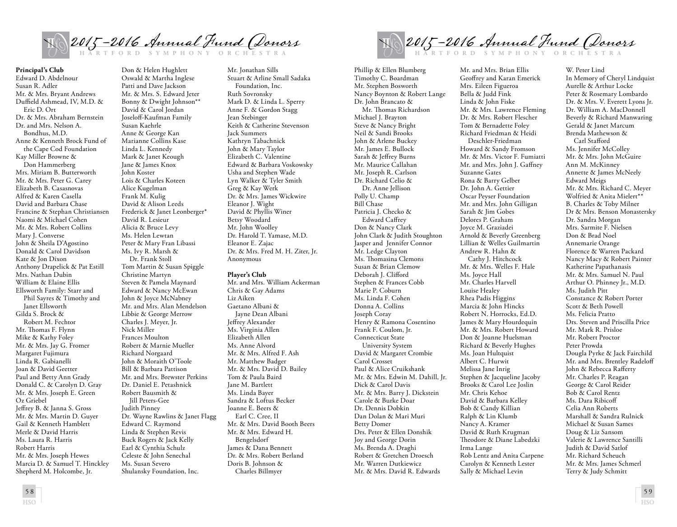

**Principal's Club**

Edward D. Abdelnour Susan R. Adler Mr. & Mrs. Bryant Andrews Duffield Ashmead, IV, M.D. & Eric D. Ort Dr. & Mrs. Abraham Bernstein Dr. and Mrs. Nelson A. Bondhus, M.D. Anne & Kenneth Brock Fund of the Cape Cod Foundation Kay Miller Browne & Don Hammerberg Mrs. Miriam B. Butterworth Mr. & Mrs. Peter G. Carey Elizabeth B. Casasnovas Alfred & Karen Casella David and Barbara Chase Francine & Stephan Christiansen Naomi & Michael Cohen Mr. & Mrs. Robert Collins Mary J. Converse John & Sheila D'Agostino Donald & Carol Davidson Kate & Jon Dixon Anthony Drapelick & Pat Estill Mrs. Nathan Dubin William & Elaine Ellis Ellsworth Family: Starr and Phil Sayres & Timothy and Janet Ellsworth Gilda S. Brock & Robert M. Fechtor Mr. Thomas F. Flynn Mike & Kathy Foley Mr. & Mrs. Jay G. Fromer Margaret Fujimura Linda R. Gabianelli Joan & David Geetter Paul and Betty Ann Grady Donald C. & Carolyn D. Gray Mr. & Mrs. Joseph E. Green Oz Griebel Jeffrey B. & Janna S. Gross Mr. & Mrs. Martin D. Guyer Gail & Kenneth Hamblett Merle & David Harris Ms. Laura R. Harris Robert Harris Mr. & Mrs. Joseph Hewes Marcia D. & Samuel T. Hinckley Shepherd M. Holcombe, Jr.

Don & Helen Hughlett Oswald & Martha Inglese Patti and Dave Jackson Mr. & Mrs. S. Edward Jeter Bonny & Dwight Johnson\*\* David & Carol Jordan Joseloff-Kaufman Family Susan Kaehrle Anne & George Kan Marianne Collins Kase Linda L. Kennedy Mark & Janet Keough Jane & James Knox John Koster Lois & Charles Koteen Alice Kugelman Frank M. Kulig David & Alison Leeds Frederick & Janet Leonberger\* David R. Lesieur Alicia & Bruce Levy Ms. Helen Lewtan Peter & Mary Fran Libassi Ms. Ivy R. Marsh & Dr. Frank Stoll Tom Martin & Susan Spiggle Christine Martyn Steven & Pamela Maynard Edward & Nancy McEwan John & Joyce McNabney Mr. and Mrs. Alan Mendelson Libbie & George Merrow Charles J. Meyer, Jr. Nick Miller Frances Moulton Robert & Marnie Mueller Richard Norgaard John & Moraith O'Toole Bill & Barbara Pattison Mr. and Mrs. Brewster Perkins Dr. Daniel E. Petashnick Robert Bausmith & Jill Peters-Gee Judith Pinney Dr. Wayne Rawlins & Janet Flagg Edward C. Raymond Linda & Stephen Revis Buck Rogers & Jack Kelly Earl & Cynthia Schulz Celeste & John Senechal Ms. Susan Severo Shulansky Foundation, Inc.

Mr. Jonathan Sills Stuart & Arline Small Sadaka Foundation, Inc. Ruth Sovronsky Mark D. & Linda L. Sperry Anne F. & Gordon Stagg Jean Stebinger Keith & Catherine Stevenson Jack Summers Kathryn Tabachnick John & Mary Taylor Elizabeth C. Valentine Edward & Barbara Voskowsky Usha and Stephen Wade Lyn Walker & Tyler Smith Greg & Kay Werk Dr. & Mrs. James Wickwire Eleanor J. Wight David & Phyllis Winer Betsy Woodard Mr. John Woolley Dr. Harold T. Yamase, M.D. Eleanor E. Zajac Dr. & Mrs. Fred M. H. Ziter, Jr. Anonymous

## **Player's Club**

Mr. and Mrs. William Ackerman Chris & Gay Adams Liz Aiken Gaetano Albani & Jayne Dean Albani Jeffrey Alexander Ms. Virginia Allen Elizabeth Allen Ms. Anne Alvord Mr. & Mrs. Alfred F. Ash Mr. Matthew Badger Mr. & Mrs. David D. Bailey Tom & Paula Baird Jane M. Bartlett Ms. Linda Bayer Sandra & Loftus Becker Joanne E. Beers & Earl C. Cree, II Mr. & Mrs. David Booth Beers Mr. & Mrs. Edward H. Bengelsdorf James & Dana Bennett Dr. & Mrs. Robert Berland Doris B. Johnson & Charles Billmyer

2015 - 2016 Annual Hund (*Donors* 

Phillip & Ellen Blumberg Timothy C. Boardman Mr. Stephen Bosworth Nancy Boynton & Robert Lange Dr. John Brancato & Mr. Thomas Richardson Michael J. Brayton Steve & Nancy Bright Neil & Sandi Brooks John & Arlene Buckey Mr. James E. Bullock Sarah & Jeffrey Burns Mr. Maurice Callahan Mr. Joseph R. Carlson Dr. Richard Celio & Dr. Anne Jellison Polly U. Champ Bill Chase Patricia J. Checko & Edward Caffrey Don & Nancy Clark John Clark & Judith Stoughton Jasper and Jennifer Connor Mr. Ledge Clayton Ms. Thomasina Clemons Susan & Brian Clemow Deborah J. Clifford Stephen & Frances Cobb Marie P. Coburn Ms. Linda F. Cohen Donna A. Collins Joseph Coray Henry & Ramona Cosentino Frank F. Coulom, Jr. Connecticut State University System David & Margaret Crombie Carol Crosset Paul & Alice Cruikshank Mr. & Mrs. Edwin M. Dahill, Jr. Dick & Carol Davis Mr. & Mrs. Barry J. Dickstein Carole & Burke Doar Dr. Dennis Dobkin Dan Dolan & Mari Muri Betty Domer Drs. Peter & Ellen Donshik Joy and George Dorin Ms. Brenda A. Draghi Robert & Gretchen Droesch Mr. Warren Dutkiewicz Mr. & Mrs. David R. Edwards

Mr. and Mrs. Brian Ellis Geoffrey and Karan Emerick Mrs. Eileen Figueroa Bella & Judd Fink Linda & John Fiske Mr. & Mrs. Lawrence Fleming Dr. & Mrs. Robert Flescher Tom & Bernadette Foley Richard Friedman & Heidi Deschler-Friedman Howard & Sandy Fromson Mr. & Mrs. Victor F. Fumiatti Mr. and Mrs. John J. Gaffney Suzanne Gates Rona & Barry Gelber Dr. John A. Gettier Oscar Peyser Foundation Mr. and Mrs. John Gilligan Sarah & Jim Gobes Delores P. Graham Joyce M. Graziadei Arnold & Beverly Greenberg Lillian & Welles Guilmartin Andrew R. Hahn & Cathy J. Hitchcock Mr. & Mrs. Welles F. Hale Ms. Joyce Hall Mr. Charles Harvell Louise Healey Rhea Padis Higgins Marcia & John Hincks Robert N. Horrocks, Ed.D. James & Mary Hourdequin Mr. & Mrs. Robert Howard Don & Joanne Huelsman Richard & Beverly Hughes Ms. Joan Hultquist Albert C. Hurwit Melissa Jane Inrig Stephen & Jacqueline Jacoby Brooks & Carol Lee Joslin Mr. Chris Kehoe David & Barbara Kelley Bob & Candy Killian Ralph & Lin Klumb Nancy A. Kramer David & Ruth Krugman Theodore & Diane Labedzki Irma Lange Rob Lentz and Anita Carpene Carolyn & Kenneth Lester Sally & Michael Levin

W. Peter Lind In Memory of Cheryl Lindquist Aurelle & Arthur Locke Peter & Rosemary Lombardo Dr. & Mrs. V. Everett Lyons Jr. Dr. William A. MacDonnell Beverly & Richard Manwaring Gerald & Janet Marcum Brenda Mathewson & Carl Stafford Ms. Jennifer McColley Mr. & Mrs. John McGuire Ann M. McKinney Annette & James McNeely Edward Meigs Mr. & Mrs. Richard C. Meyer Wolfried & Anita Mielert\*\* B. Charles & Toby Milner Dr & Mrs. Benson Monastersky Dr. Sandra Morgan Mrs. Sarmite F. Nielsen Don & Brad Noel Annemarie Orange Florence & Warren Packard Nancy Macy & Robert Painter Katherine Papathanasis Mr. & Mrs. Samuel N. Paul Arthur O. Phinney Jr., M.D. Ms. Judith Pitt Constance & Robert Porter Scott & Beth Powell Ms. Felicia Pratto Drs. Steven and Priscilla Price Mr. Mark R. Prisloe Mr. Robert Proctor Peter Prowda Dougla Pyrke & Jack Fairchild Mr. and Mrs. Brentley Radeloff John & Rebecca Rafferty Mr. Charles P. Reagan George & Carol Reider Bob & Carol Rentz Ms. Dara Ribicoff Celia Ann Roberts Marshall & Sandra Rulnick Michael & Susan Sames Doug & Liz Sansom Valerie & Lawrence Santilli Judith & David Satlof Mr. Richard Scheuch Mr. & Mrs. James Schmerl Terry & Judy Schmitt